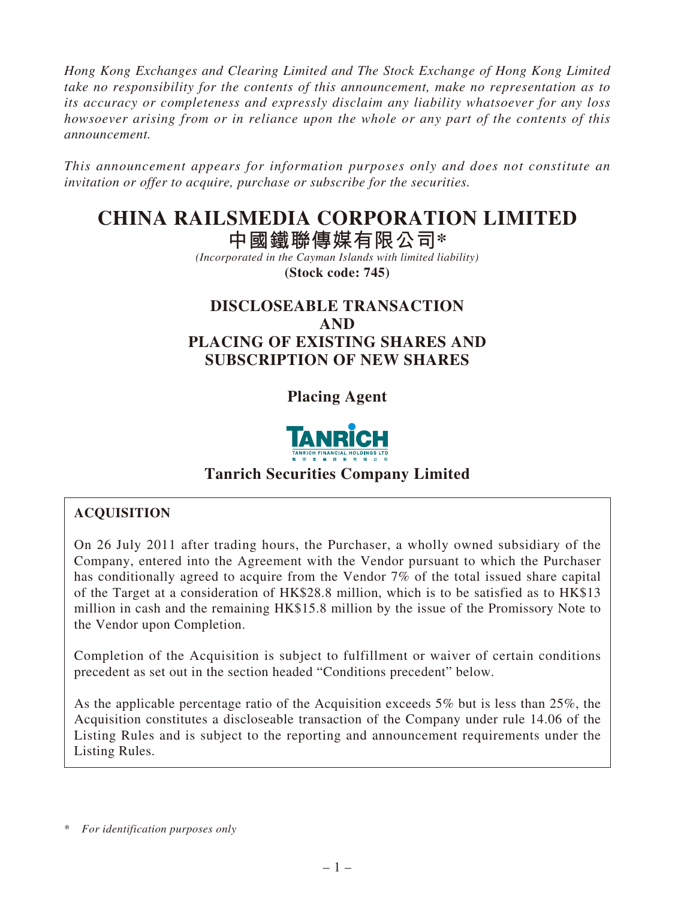*Hong Kong Exchanges and Clearing Limited and The Stock Exchange of Hong Kong Limited take no responsibility for the contents of this announcement, make no representation as to its accuracy or completeness and expressly disclaim any liability whatsoever for any loss howsoever arising from or in reliance upon the whole or any part of the contents of this announcement.*

*This announcement appears for information purposes only and does not constitute an invitation or offer to acquire, purchase or subscribe for the securities.*

# **CHINA RAILSMEDIA CORPORATION LIMITED**

**中國鐵聯傳媒有限公司\***

*(Incorporated in the Cayman Islands with limited liability)* **(Stock code: 745)**

# **DISCLOSEABLE TRANSACTION AND PLACING OF EXISTING SHARES AND SUBSCRIPTION OF NEW SHARES**

**Placing Agent**



# **Tanrich Securities Company Limited**

## **ACQUISITION**

On 26 July 2011 after trading hours, the Purchaser, a wholly owned subsidiary of the Company, entered into the Agreement with the Vendor pursuant to which the Purchaser has conditionally agreed to acquire from the Vendor 7% of the total issued share capital of the Target at a consideration of HK\$28.8 million, which is to be satisfied as to HK\$13 million in cash and the remaining HK\$15.8 million by the issue of the Promissory Note to the Vendor upon Completion.

Completion of the Acquisition is subject to fulfillment or waiver of certain conditions precedent as set out in the section headed "Conditions precedent" below.

As the applicable percentage ratio of the Acquisition exceeds 5% but is less than 25%, the Acquisition constitutes a discloseable transaction of the Company under rule 14.06 of the Listing Rules and is subject to the reporting and announcement requirements under the Listing Rules.

<sup>\*</sup> *For identification purposes only*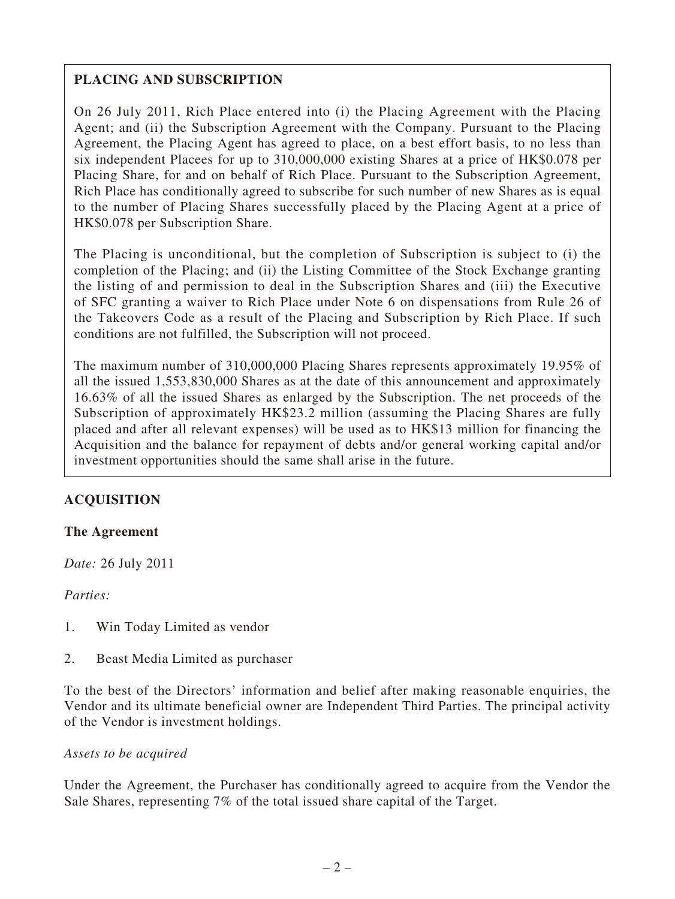## **PLACING AND SUBSCRIPTION**

On 26 July 2011, Rich Place entered into (i) the Placing Agreement with the Placing Agent; and (ii) the Subscription Agreement with the Company. Pursuant to the Placing Agreement, the Placing Agent has agreed to place, on a best effort basis, to no less than six independent Placees for up to 310,000,000 existing Shares at a price of HK\$0.078 per Placing Share, for and on behalf of Rich Place. Pursuant to the Subscription Agreement, Rich Place has conditionally agreed to subscribe for such number of new Shares as is equal to the number of Placing Shares successfully placed by the Placing Agent at a price of HK\$0.078 per Subscription Share.

The Placing is unconditional, but the completion of Subscription is subject to (i) the completion of the Placing; and (ii) the Listing Committee of the Stock Exchange granting the listing of and permission to deal in the Subscription Shares and (iii) the Executive of SFC granting a waiver to Rich Place under Note 6 on dispensations from Rule 26 of the Takeovers Code as a result of the Placing and Subscription by Rich Place. If such conditions are not fulfilled, the Subscription will not proceed.

The maximum number of 310,000,000 Placing Shares represents approximately 19.95% of all the issued 1,553,830,000 Shares as at the date of this announcement and approximately 16.63% of all the issued Shares as enlarged by the Subscription. The net proceeds of the Subscription of approximately HK\$23.2 million (assuming the Placing Shares are fully placed and after all relevant expenses) will be used as to HK\$13 million for financing the Acquisition and the balance for repayment of debts and/or general working capital and/or investment opportunities should the same shall arise in the future.

## **ACQUISITION**

#### **The Agreement**

*Date:* 26 July 2011

*Parties:*

- 1. Win Today Limited as vendor
- 2. Beast Media Limited as purchaser

To the best of the Directors' information and belief after making reasonable enquiries, the Vendor and its ultimate beneficial owner are Independent Third Parties. The principal activity of the Vendor is investment holdings.

#### *Assets to be acquired*

Under the Agreement, the Purchaser has conditionally agreed to acquire from the Vendor the Sale Shares, representing 7% of the total issued share capital of the Target.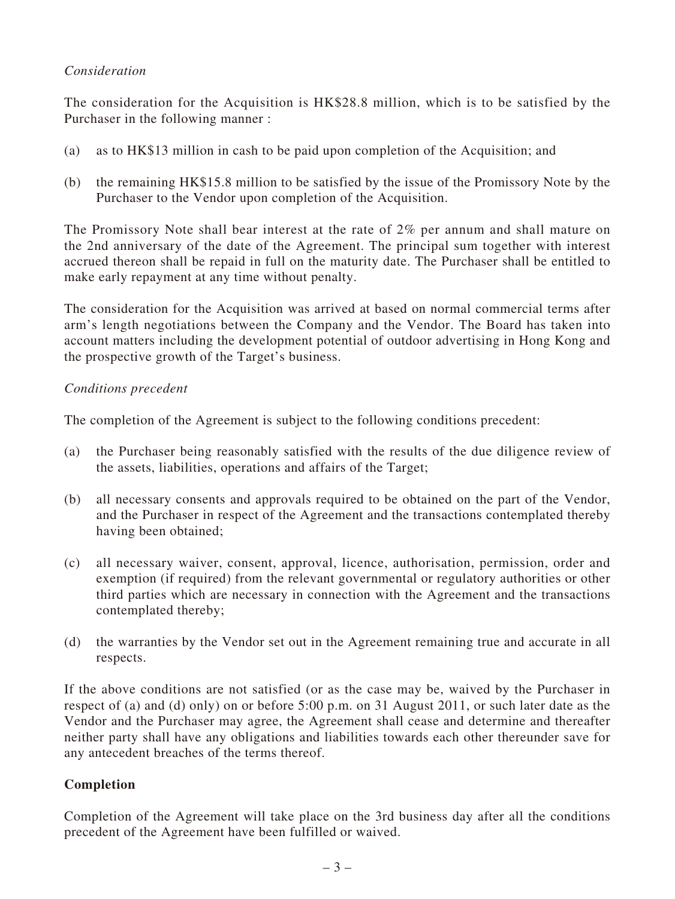## *Consideration*

The consideration for the Acquisition is HK\$28.8 million, which is to be satisfied by the Purchaser in the following manner :

- (a) as to HK\$13 million in cash to be paid upon completion of the Acquisition; and
- (b) the remaining HK\$15.8 million to be satisfied by the issue of the Promissory Note by the Purchaser to the Vendor upon completion of the Acquisition.

The Promissory Note shall bear interest at the rate of 2% per annum and shall mature on the 2nd anniversary of the date of the Agreement. The principal sum together with interest accrued thereon shall be repaid in full on the maturity date. The Purchaser shall be entitled to make early repayment at any time without penalty.

The consideration for the Acquisition was arrived at based on normal commercial terms after arm's length negotiations between the Company and the Vendor. The Board has taken into account matters including the development potential of outdoor advertising in Hong Kong and the prospective growth of the Target's business.

#### *Conditions precedent*

The completion of the Agreement is subject to the following conditions precedent:

- (a) the Purchaser being reasonably satisfied with the results of the due diligence review of the assets, liabilities, operations and affairs of the Target;
- (b) all necessary consents and approvals required to be obtained on the part of the Vendor, and the Purchaser in respect of the Agreement and the transactions contemplated thereby having been obtained;
- (c) all necessary waiver, consent, approval, licence, authorisation, permission, order and exemption (if required) from the relevant governmental or regulatory authorities or other third parties which are necessary in connection with the Agreement and the transactions contemplated thereby;
- (d) the warranties by the Vendor set out in the Agreement remaining true and accurate in all respects.

If the above conditions are not satisfied (or as the case may be, waived by the Purchaser in respect of (a) and (d) only) on or before 5:00 p.m. on 31 August 2011, or such later date as the Vendor and the Purchaser may agree, the Agreement shall cease and determine and thereafter neither party shall have any obligations and liabilities towards each other thereunder save for any antecedent breaches of the terms thereof.

#### **Completion**

Completion of the Agreement will take place on the 3rd business day after all the conditions precedent of the Agreement have been fulfilled or waived.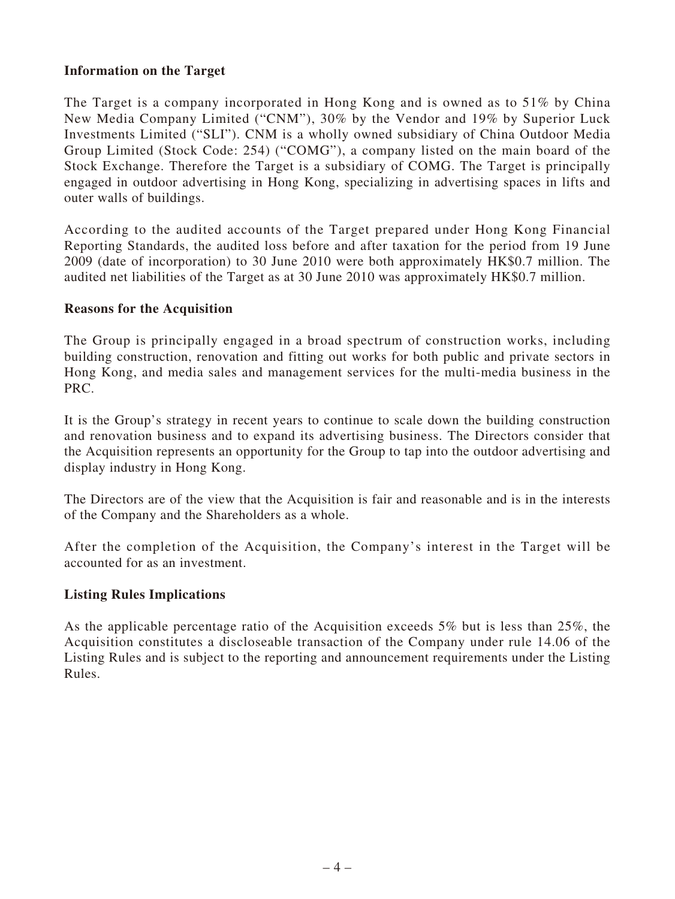#### **Information on the Target**

The Target is a company incorporated in Hong Kong and is owned as to 51% by China New Media Company Limited ("CNM"), 30% by the Vendor and 19% by Superior Luck Investments Limited ("SLI"). CNM is a wholly owned subsidiary of China Outdoor Media Group Limited (Stock Code: 254) ("COMG"), a company listed on the main board of the Stock Exchange. Therefore the Target is a subsidiary of COMG. The Target is principally engaged in outdoor advertising in Hong Kong, specializing in advertising spaces in lifts and outer walls of buildings.

According to the audited accounts of the Target prepared under Hong Kong Financial Reporting Standards, the audited loss before and after taxation for the period from 19 June 2009 (date of incorporation) to 30 June 2010 were both approximately HK\$0.7 million. The audited net liabilities of the Target as at 30 June 2010 was approximately HK\$0.7 million.

#### **Reasons for the Acquisition**

The Group is principally engaged in a broad spectrum of construction works, including building construction, renovation and fitting out works for both public and private sectors in Hong Kong, and media sales and management services for the multi-media business in the PRC.

It is the Group's strategy in recent years to continue to scale down the building construction and renovation business and to expand its advertising business. The Directors consider that the Acquisition represents an opportunity for the Group to tap into the outdoor advertising and display industry in Hong Kong.

The Directors are of the view that the Acquisition is fair and reasonable and is in the interests of the Company and the Shareholders as a whole.

After the completion of the Acquisition, the Company's interest in the Target will be accounted for as an investment.

#### **Listing Rules Implications**

As the applicable percentage ratio of the Acquisition exceeds 5% but is less than 25%, the Acquisition constitutes a discloseable transaction of the Company under rule 14.06 of the Listing Rules and is subject to the reporting and announcement requirements under the Listing Rules.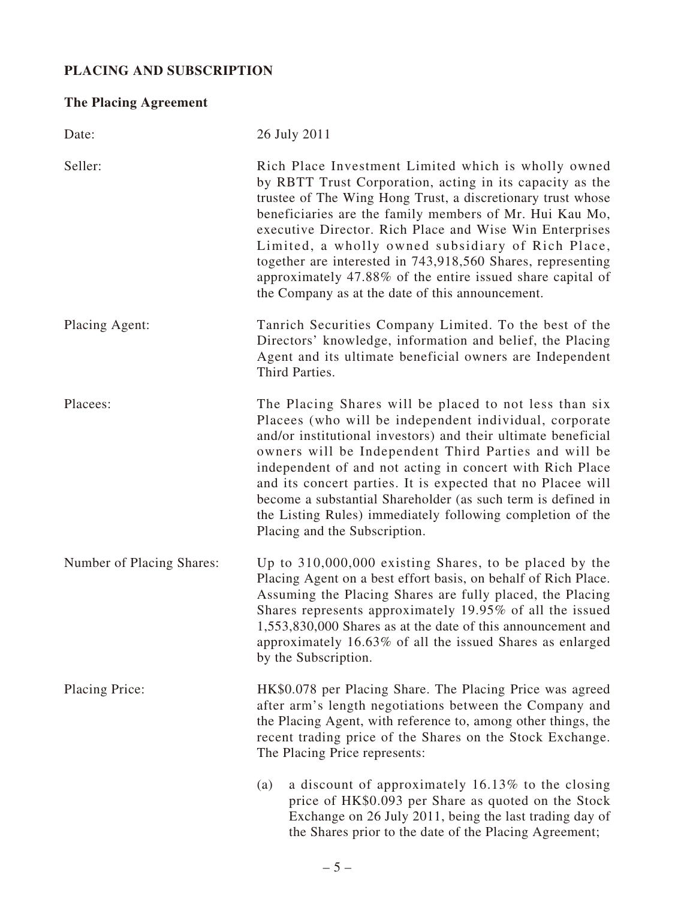## **PLACING AND SUBSCRIPTION**

# **The Placing Agreement**

| Date:                     | 26 July 2011                                                                                                                                                                                                                                                                                                                                                                                                                                                                                                                               |
|---------------------------|--------------------------------------------------------------------------------------------------------------------------------------------------------------------------------------------------------------------------------------------------------------------------------------------------------------------------------------------------------------------------------------------------------------------------------------------------------------------------------------------------------------------------------------------|
| Seller:                   | Rich Place Investment Limited which is wholly owned<br>by RBTT Trust Corporation, acting in its capacity as the<br>trustee of The Wing Hong Trust, a discretionary trust whose<br>beneficiaries are the family members of Mr. Hui Kau Mo,<br>executive Director. Rich Place and Wise Win Enterprises<br>Limited, a wholly owned subsidiary of Rich Place,<br>together are interested in 743,918,560 Shares, representing<br>approximately 47.88% of the entire issued share capital of<br>the Company as at the date of this announcement. |
| Placing Agent:            | Tanrich Securities Company Limited. To the best of the<br>Directors' knowledge, information and belief, the Placing<br>Agent and its ultimate beneficial owners are Independent<br>Third Parties.                                                                                                                                                                                                                                                                                                                                          |
| Placees:                  | The Placing Shares will be placed to not less than six<br>Placees (who will be independent individual, corporate<br>and/or institutional investors) and their ultimate beneficial<br>owners will be Independent Third Parties and will be<br>independent of and not acting in concert with Rich Place<br>and its concert parties. It is expected that no Placee will<br>become a substantial Shareholder (as such term is defined in<br>the Listing Rules) immediately following completion of the<br>Placing and the Subscription.        |
| Number of Placing Shares: | Up to $310,000,000$ existing Shares, to be placed by the<br>Placing Agent on a best effort basis, on behalf of Rich Place.<br>Assuming the Placing Shares are fully placed, the Placing<br>Shares represents approximately 19.95% of all the issued<br>1,553,830,000 Shares as at the date of this announcement and<br>approximately 16.63% of all the issued Shares as enlarged<br>by the Subscription.                                                                                                                                   |
| <b>Placing Price:</b>     | HK\$0.078 per Placing Share. The Placing Price was agreed<br>after arm's length negotiations between the Company and<br>the Placing Agent, with reference to, among other things, the<br>recent trading price of the Shares on the Stock Exchange.<br>The Placing Price represents:                                                                                                                                                                                                                                                        |
|                           | a discount of approximately 16.13% to the closing<br>(a)<br>price of HK\$0.093 per Share as quoted on the Stock<br>Exchange on 26 July 2011, being the last trading day of<br>the Shares prior to the date of the Placing Agreement;                                                                                                                                                                                                                                                                                                       |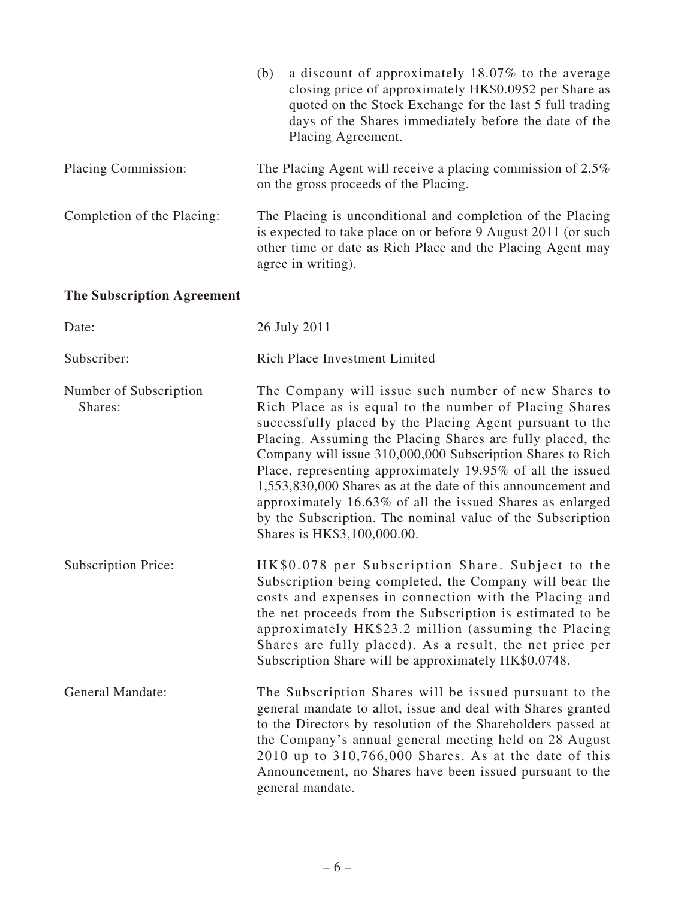|                                   | a discount of approximately 18.07% to the average<br>(b)<br>closing price of approximately HK\$0.0952 per Share as<br>quoted on the Stock Exchange for the last 5 full trading<br>days of the Shares immediately before the date of the<br>Placing Agreement.                                                                                                                                                                                                                                                                                                                                 |
|-----------------------------------|-----------------------------------------------------------------------------------------------------------------------------------------------------------------------------------------------------------------------------------------------------------------------------------------------------------------------------------------------------------------------------------------------------------------------------------------------------------------------------------------------------------------------------------------------------------------------------------------------|
| Placing Commission:               | The Placing Agent will receive a placing commission of 2.5%<br>on the gross proceeds of the Placing.                                                                                                                                                                                                                                                                                                                                                                                                                                                                                          |
| Completion of the Placing:        | The Placing is unconditional and completion of the Placing<br>is expected to take place on or before 9 August 2011 (or such<br>other time or date as Rich Place and the Placing Agent may<br>agree in writing).                                                                                                                                                                                                                                                                                                                                                                               |
| <b>The Subscription Agreement</b> |                                                                                                                                                                                                                                                                                                                                                                                                                                                                                                                                                                                               |
| Date:                             | 26 July 2011                                                                                                                                                                                                                                                                                                                                                                                                                                                                                                                                                                                  |
| Subscriber:                       | <b>Rich Place Investment Limited</b>                                                                                                                                                                                                                                                                                                                                                                                                                                                                                                                                                          |
| Number of Subscription<br>Shares: | The Company will issue such number of new Shares to<br>Rich Place as is equal to the number of Placing Shares<br>successfully placed by the Placing Agent pursuant to the<br>Placing. Assuming the Placing Shares are fully placed, the<br>Company will issue 310,000,000 Subscription Shares to Rich<br>Place, representing approximately 19.95% of all the issued<br>1,553,830,000 Shares as at the date of this announcement and<br>approximately 16.63% of all the issued Shares as enlarged<br>by the Subscription. The nominal value of the Subscription<br>Shares is HK\$3,100,000.00. |
| <b>Subscription Price:</b>        | HK\$0.078 per Subscription Share. Subject to the<br>Subscription being completed, the Company will bear the<br>costs and expenses in connection with the Placing and<br>the net proceeds from the Subscription is estimated to be<br>approximately HK\$23.2 million (assuming the Placing<br>Shares are fully placed). As a result, the net price per<br>Subscription Share will be approximately HK\$0.0748.                                                                                                                                                                                 |
| <b>General Mandate:</b>           | The Subscription Shares will be issued pursuant to the<br>general mandate to allot, issue and deal with Shares granted<br>to the Directors by resolution of the Shareholders passed at<br>the Company's annual general meeting held on 28 August<br>$2010$ up to $310,766,000$ Shares. As at the date of this<br>Announcement, no Shares have been issued pursuant to the<br>general mandate.                                                                                                                                                                                                 |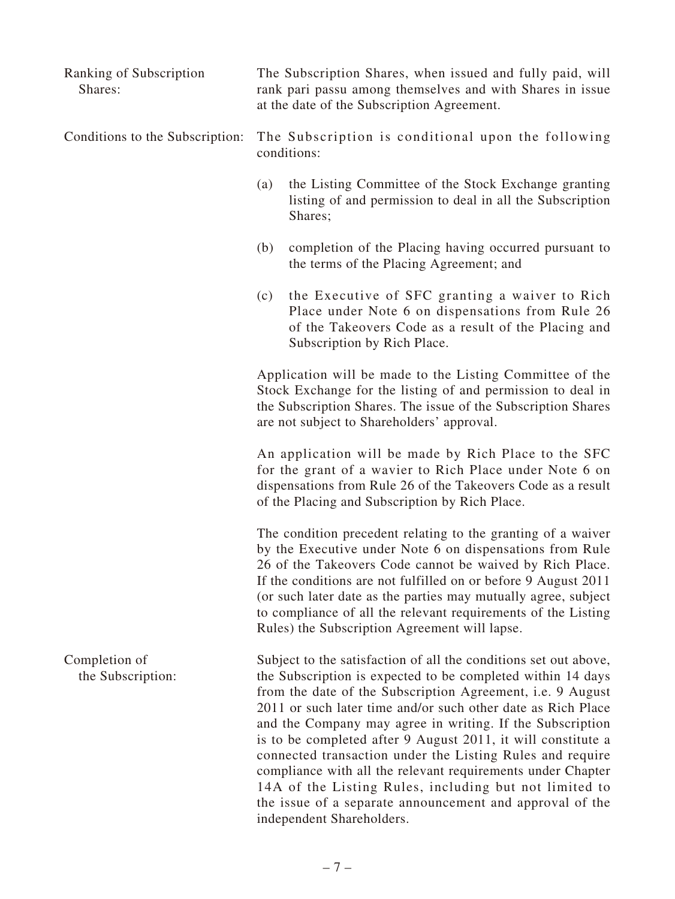| Ranking of Subscription<br>Shares: | The Subscription Shares, when issued and fully paid, will<br>rank pari passu among themselves and with Shares in issue<br>at the date of the Subscription Agreement.                                                                                                                                                                                                                                                                                                                                                   |
|------------------------------------|------------------------------------------------------------------------------------------------------------------------------------------------------------------------------------------------------------------------------------------------------------------------------------------------------------------------------------------------------------------------------------------------------------------------------------------------------------------------------------------------------------------------|
| Conditions to the Subscription:    | The Subscription is conditional upon the following<br>conditions:                                                                                                                                                                                                                                                                                                                                                                                                                                                      |
|                                    | the Listing Committee of the Stock Exchange granting<br>(a)<br>listing of and permission to deal in all the Subscription<br>Shares;                                                                                                                                                                                                                                                                                                                                                                                    |
|                                    | completion of the Placing having occurred pursuant to<br>(b)<br>the terms of the Placing Agreement; and                                                                                                                                                                                                                                                                                                                                                                                                                |
|                                    | the Executive of SFC granting a waiver to Rich<br>(c)<br>Place under Note 6 on dispensations from Rule 26<br>of the Takeovers Code as a result of the Placing and<br>Subscription by Rich Place.                                                                                                                                                                                                                                                                                                                       |
|                                    | Application will be made to the Listing Committee of the<br>Stock Exchange for the listing of and permission to deal in<br>the Subscription Shares. The issue of the Subscription Shares<br>are not subject to Shareholders' approval.                                                                                                                                                                                                                                                                                 |
|                                    | An application will be made by Rich Place to the SFC<br>for the grant of a wavier to Rich Place under Note 6 on<br>dispensations from Rule 26 of the Takeovers Code as a result<br>of the Placing and Subscription by Rich Place.                                                                                                                                                                                                                                                                                      |
|                                    | The condition precedent relating to the granting of a waiver<br>by the Executive under Note 6 on dispensations from Rule<br>26 of the Takeovers Code cannot be waived by Rich Place.<br>If the conditions are not fulfilled on or before 9 August 2011<br>(or such later date as the parties may mutually agree, subject<br>to compliance of all the relevant requirements of the Listing<br>Rules) the Subscription Agreement will lapse.                                                                             |
| Completion of<br>the Subscription: | Subject to the satisfaction of all the conditions set out above,<br>the Subscription is expected to be completed within 14 days<br>from the date of the Subscription Agreement, i.e. 9 August<br>2011 or such later time and/or such other date as Rich Place<br>and the Company may agree in writing. If the Subscription<br>is to be completed after 9 August 2011, it will constitute a<br>connected transaction under the Listing Rules and require<br>compliance with all the relevant requirements under Chapter |

 $-7-$ 

independent Shareholders.

14A of the Listing Rules, including but not limited to the issue of a separate announcement and approval of the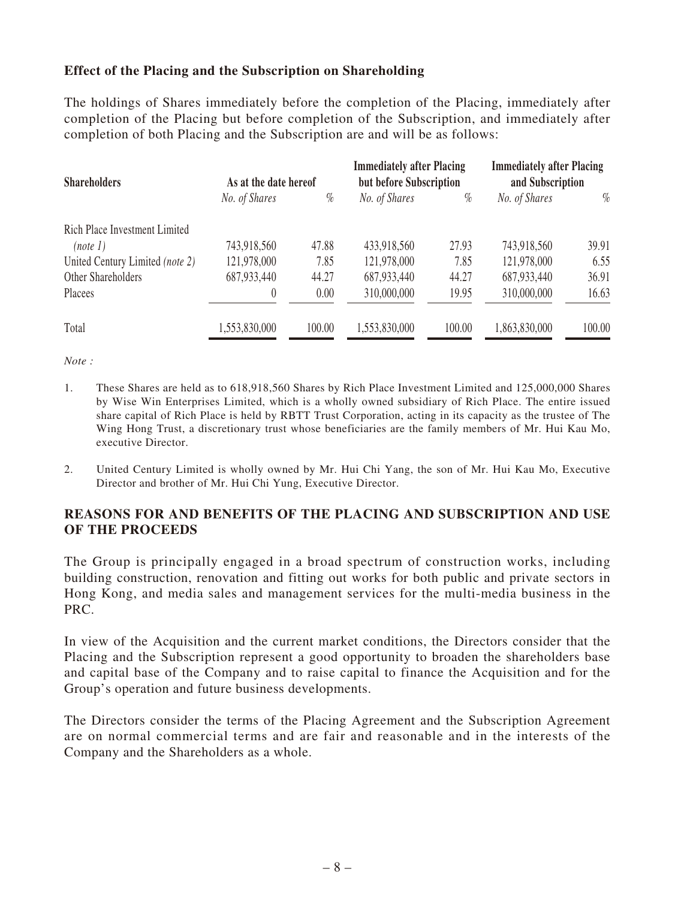#### **Effect of the Placing and the Subscription on Shareholding**

The holdings of Shares immediately before the completion of the Placing, immediately after completion of the Placing but before completion of the Subscription, and immediately after completion of both Placing and the Subscription are and will be as follows:

| <b>Shareholders</b>             | As at the date hereof |        | <b>Immediately after Placing</b><br>but before Subscription |        | <b>Immediately after Placing</b><br>and Subscription |        |
|---------------------------------|-----------------------|--------|-------------------------------------------------------------|--------|------------------------------------------------------|--------|
|                                 | No. of Shares         | $\%$   | No. of Shares                                               | $\%$   | No. of Shares                                        | $\%$   |
| Rich Place Investment Limited   |                       |        |                                                             |        |                                                      |        |
| (note 1)                        | 743,918,560           | 47.88  | 433,918,560                                                 | 27.93  | 743,918,560                                          | 39.91  |
| United Century Limited (note 2) | 121,978,000           | 7.85   | 121,978,000                                                 | 7.85   | 121,978,000                                          | 6.55   |
| Other Shareholders              | 687,933,440           | 44.27  | 687,933,440                                                 | 44.27  | 687,933,440                                          | 36.91  |
| Placees                         | $\theta$              | 0.00   | 310,000,000                                                 | 19.95  | 310,000,000                                          | 16.63  |
| Total                           | 1,553,830,000         | 100.00 | 1,553,830,000                                               | 100.00 | 1,863,830,000                                        | 100.00 |

*Note :*

- 1. These Shares are held as to 618,918,560 Shares by Rich Place Investment Limited and 125,000,000 Shares by Wise Win Enterprises Limited, which is a wholly owned subsidiary of Rich Place. The entire issued share capital of Rich Place is held by RBTT Trust Corporation, acting in its capacity as the trustee of The Wing Hong Trust, a discretionary trust whose beneficiaries are the family members of Mr. Hui Kau Mo, executive Director.
- 2. United Century Limited is wholly owned by Mr. Hui Chi Yang, the son of Mr. Hui Kau Mo, Executive Director and brother of Mr. Hui Chi Yung, Executive Director.

#### **REASONS FOR AND BENEFITS OF THE PLACING AND SUBSCRIPTION AND USE OF THE PROCEEDS**

The Group is principally engaged in a broad spectrum of construction works, including building construction, renovation and fitting out works for both public and private sectors in Hong Kong, and media sales and management services for the multi-media business in the PRC.

In view of the Acquisition and the current market conditions, the Directors consider that the Placing and the Subscription represent a good opportunity to broaden the shareholders base and capital base of the Company and to raise capital to finance the Acquisition and for the Group's operation and future business developments.

The Directors consider the terms of the Placing Agreement and the Subscription Agreement are on normal commercial terms and are fair and reasonable and in the interests of the Company and the Shareholders as a whole.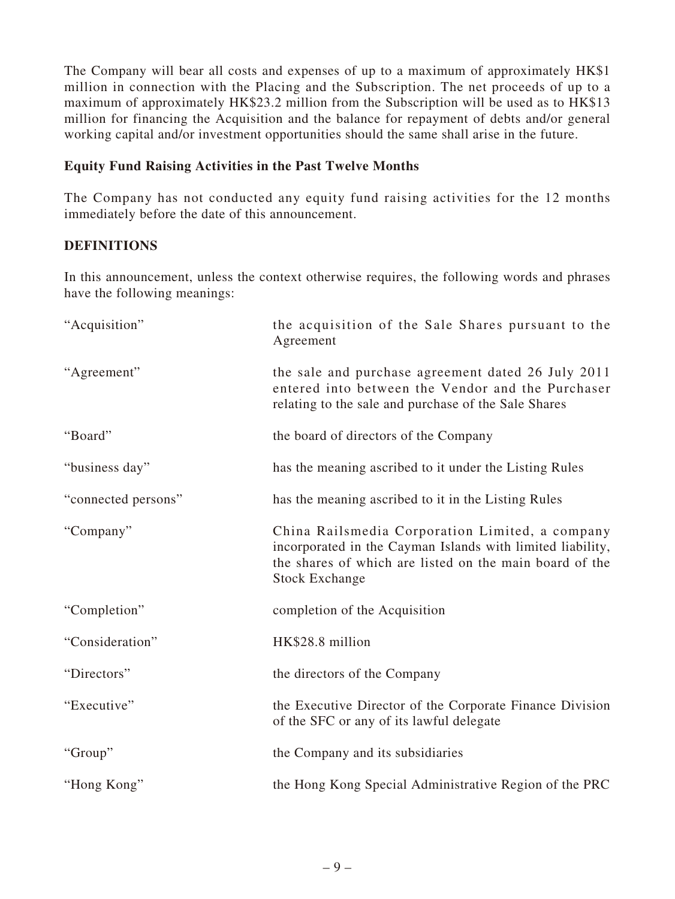The Company will bear all costs and expenses of up to a maximum of approximately HK\$1 million in connection with the Placing and the Subscription. The net proceeds of up to a maximum of approximately HK\$23.2 million from the Subscription will be used as to HK\$13 million for financing the Acquisition and the balance for repayment of debts and/or general working capital and/or investment opportunities should the same shall arise in the future.

#### **Equity Fund Raising Activities in the Past Twelve Months**

The Company has not conducted any equity fund raising activities for the 12 months immediately before the date of this announcement.

## **DEFINITIONS**

In this announcement, unless the context otherwise requires, the following words and phrases have the following meanings:

| "Acquisition"       | the acquisition of the Sale Shares pursuant to the<br>Agreement                                                                                                                                   |
|---------------------|---------------------------------------------------------------------------------------------------------------------------------------------------------------------------------------------------|
| "Agreement"         | the sale and purchase agreement dated 26 July 2011<br>entered into between the Vendor and the Purchaser<br>relating to the sale and purchase of the Sale Shares                                   |
| "Board"             | the board of directors of the Company                                                                                                                                                             |
| "business day"      | has the meaning ascribed to it under the Listing Rules                                                                                                                                            |
| "connected persons" | has the meaning ascribed to it in the Listing Rules                                                                                                                                               |
| "Company"           | China Railsmedia Corporation Limited, a company<br>incorporated in the Cayman Islands with limited liability,<br>the shares of which are listed on the main board of the<br><b>Stock Exchange</b> |
| "Completion"        | completion of the Acquisition                                                                                                                                                                     |
| "Consideration"     | HK\$28.8 million                                                                                                                                                                                  |
| "Directors"         | the directors of the Company                                                                                                                                                                      |
| "Executive"         | the Executive Director of the Corporate Finance Division<br>of the SFC or any of its lawful delegate                                                                                              |
| "Group"             | the Company and its subsidiaries                                                                                                                                                                  |
| "Hong Kong"         | the Hong Kong Special Administrative Region of the PRC                                                                                                                                            |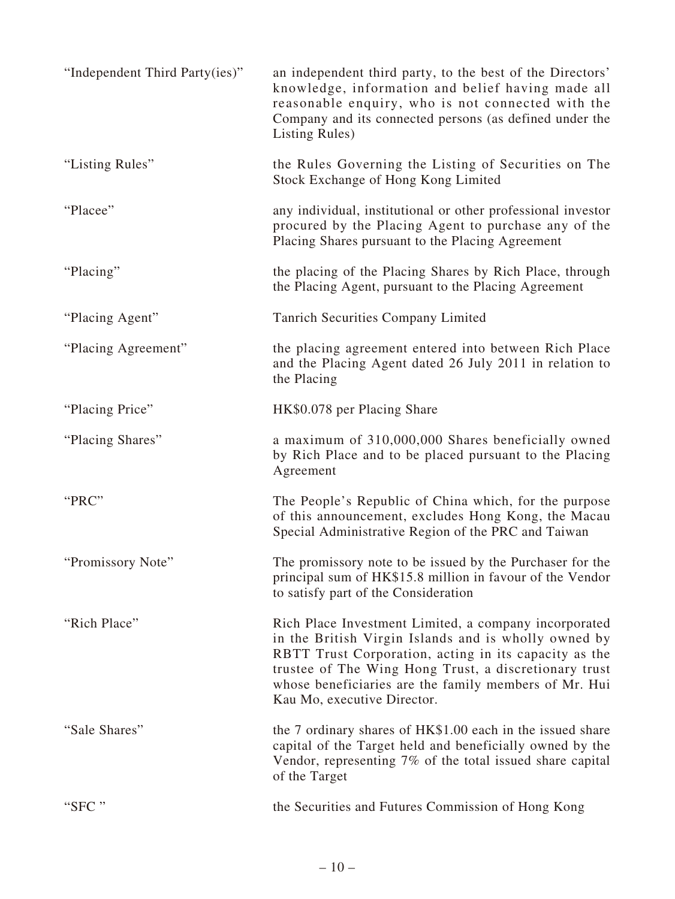| "Independent Third Party(ies)" | an independent third party, to the best of the Directors'<br>knowledge, information and belief having made all<br>reasonable enquiry, who is not connected with the<br>Company and its connected persons (as defined under the<br>Listing Rules)                                                                        |
|--------------------------------|-------------------------------------------------------------------------------------------------------------------------------------------------------------------------------------------------------------------------------------------------------------------------------------------------------------------------|
| "Listing Rules"                | the Rules Governing the Listing of Securities on The<br>Stock Exchange of Hong Kong Limited                                                                                                                                                                                                                             |
| "Placee"                       | any individual, institutional or other professional investor<br>procured by the Placing Agent to purchase any of the<br>Placing Shares pursuant to the Placing Agreement                                                                                                                                                |
| "Placing"                      | the placing of the Placing Shares by Rich Place, through<br>the Placing Agent, pursuant to the Placing Agreement                                                                                                                                                                                                        |
| "Placing Agent"                | <b>Tanrich Securities Company Limited</b>                                                                                                                                                                                                                                                                               |
| "Placing Agreement"            | the placing agreement entered into between Rich Place<br>and the Placing Agent dated 26 July 2011 in relation to<br>the Placing                                                                                                                                                                                         |
| "Placing Price"                | HK\$0.078 per Placing Share                                                                                                                                                                                                                                                                                             |
| "Placing Shares"               | a maximum of 310,000,000 Shares beneficially owned<br>by Rich Place and to be placed pursuant to the Placing<br>Agreement                                                                                                                                                                                               |
| "PRC"                          | The People's Republic of China which, for the purpose<br>of this announcement, excludes Hong Kong, the Macau<br>Special Administrative Region of the PRC and Taiwan                                                                                                                                                     |
| "Promissory Note"              | The promissory note to be issued by the Purchaser for the<br>principal sum of HK\$15.8 million in favour of the Vendor<br>to satisfy part of the Consideration                                                                                                                                                          |
| "Rich Place"                   | Rich Place Investment Limited, a company incorporated<br>in the British Virgin Islands and is wholly owned by<br>RBTT Trust Corporation, acting in its capacity as the<br>trustee of The Wing Hong Trust, a discretionary trust<br>whose beneficiaries are the family members of Mr. Hui<br>Kau Mo, executive Director. |
| "Sale Shares"                  | the 7 ordinary shares of HK\$1.00 each in the issued share<br>capital of the Target held and beneficially owned by the<br>Vendor, representing 7% of the total issued share capital<br>of the Target                                                                                                                    |
| "SFC"                          | the Securities and Futures Commission of Hong Kong                                                                                                                                                                                                                                                                      |